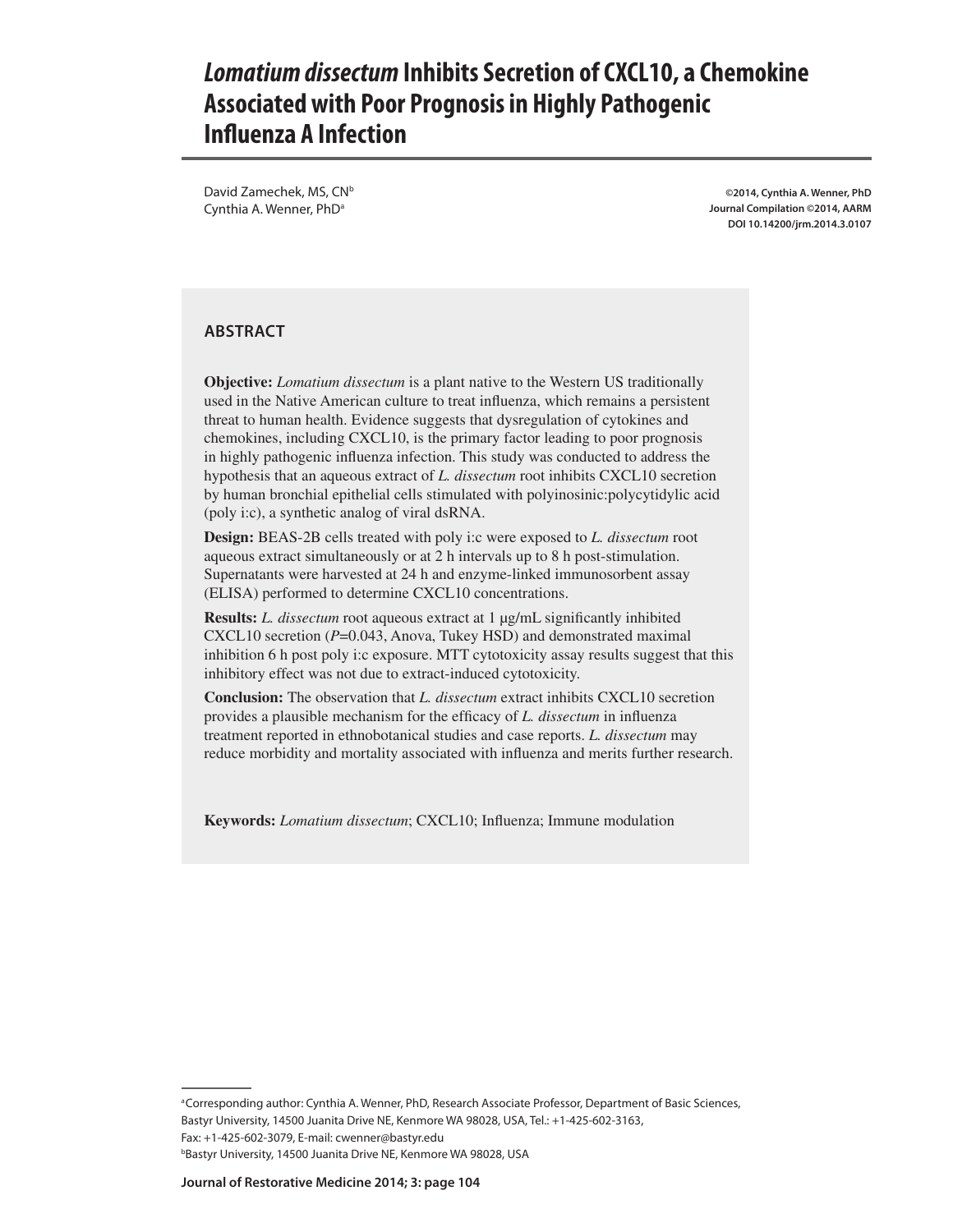# *Lomatium dissectum* **Inhibits Secretion of CXCL10, a Chemokine Associated with Poor Prognosis in Highly Pathogenic Influenza A Infection**

David Zamechek, MS, CN<sup>b</sup> Cynthia A. Wenner, PhD<sup>a</sup>

**©2014, Cynthia A. Wenner, PhD Journal Compilation ©2014, AARM DOI 10.14200/jrm.2014.3.0107**

#### **ABSTRACT**

**Objective:** *Lomatium dissectum* is a plant native to the Western US traditionally used in the Native American culture to treat influenza, which remains a persistent threat to human health. Evidence suggests that dysregulation of cytokines and chemokines, including CXCL10, is the primary factor leading to poor prognosis in highly pathogenic influenza infection. This study was conducted to address the hypothesis that an aqueous extract of *L. dissectum* root inhibits CXCL10 secretion by human bronchial epithelial cells stimulated with polyinosinic:polycytidylic acid (poly i:c), a synthetic analog of viral dsRNA.

**Design:** BEAS-2B cells treated with poly i:c were exposed to *L. dissectum* root aqueous extract simultaneously or at 2 h intervals up to 8 h post-stimulation. Supernatants were harvested at 24 h and enzyme-linked immunosorbent assay (ELISA) performed to determine CXCL10 concentrations.

**Results:** *L. dissectum* root aqueous extract at 1 μg/mL significantly inhibited CXCL10 secretion (*P*=0.043, Anova, Tukey HSD) and demonstrated maximal inhibition 6 h post poly i:c exposure. MTT cytotoxicity assay results suggest that this inhibitory effect was not due to extract-induced cytotoxicity.

**Conclusion:** The observation that *L. dissectum* extract inhibits CXCL10 secretion provides a plausible mechanism for the efficacy of *L. dissectum* in influenza treatment reported in ethnobotanical studies and case reports. *L. dissectum* may reduce morbidity and mortality associated with influenza and merits further research.

**Keywords:** *Lomatium dissectum*; CXCL10; Influenza; Immune modulation

aCorresponding author: Cynthia A. Wenner, PhD, Research Associate Professor, Department of Basic Sciences, Bastyr University, 14500 Juanita Drive NE, Kenmore WA 98028, USA, Tel.: +1-425-602-3163,

Fax: +1-425-602-3079, E-mail: cwenner@bastyr.edu

b Bastyr University, 14500 Juanita Drive NE, Kenmore WA 98028, USA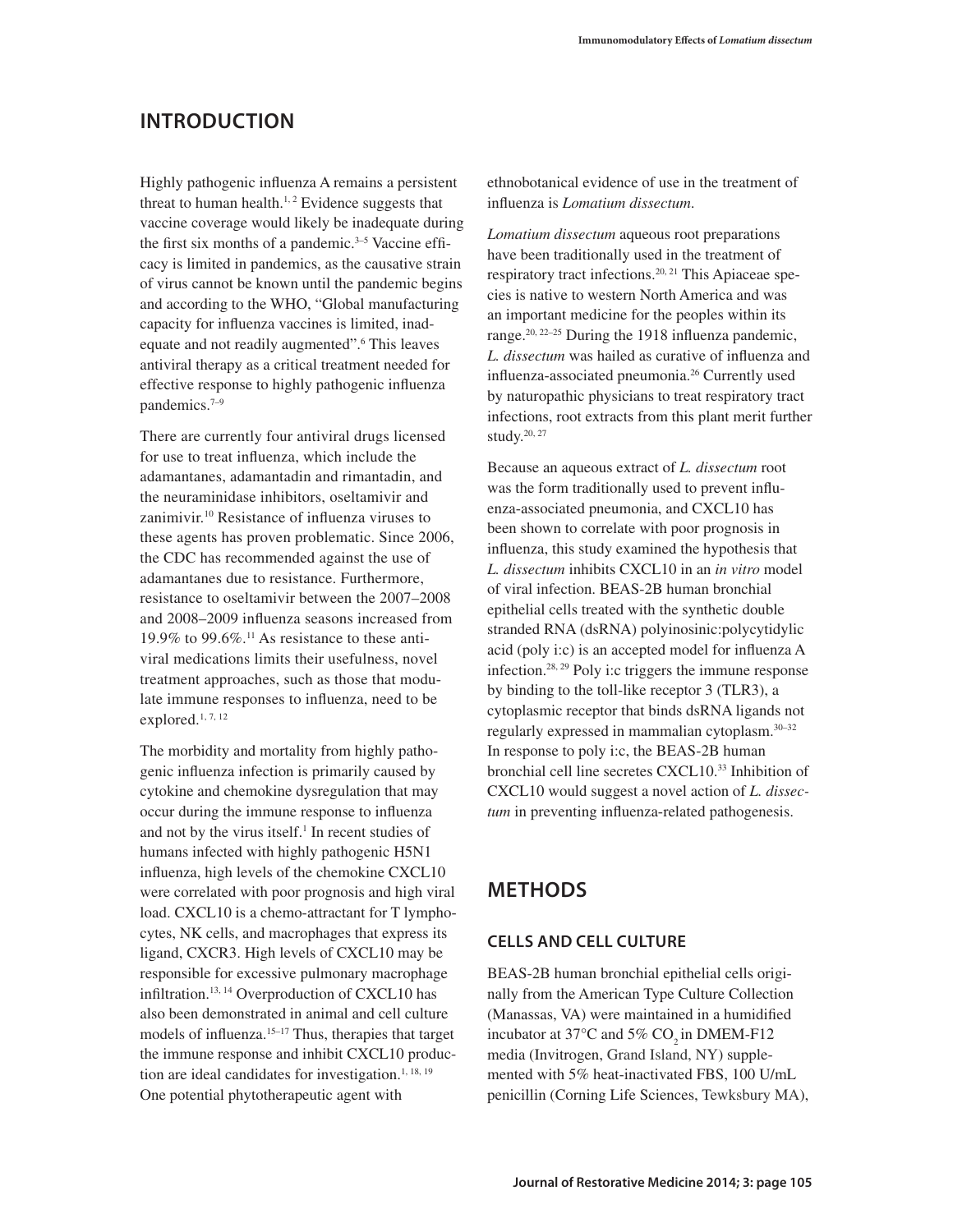# **Introduction**

Highly pathogenic influenza A remains a persistent threat to human health.<sup>1, 2</sup> Evidence suggests that vaccine coverage would likely be inadequate during the first six months of a pandemic. $3-5$  Vaccine efficacy is limited in pandemics, as the causative strain of virus cannot be known until the pandemic begins and according to the WHO, "Global manufacturing capacity for influenza vaccines is limited, inadequate and not readily augmented".<sup>6</sup> This leaves antiviral therapy as a critical treatment needed for effective response to highly pathogenic influenza pandemics.7–9

There are currently four antiviral drugs licensed for use to treat influenza, which include the adamantanes, adamantadin and rimantadin, and the neuraminidase inhibitors, oseltamivir and zanimivir.10 Resistance of influenza viruses to these agents has proven problematic. Since 2006, the CDC has recommended against the use of adamantanes due to resistance. Furthermore, resistance to oseltamivir between the 2007–2008 and 2008–2009 influenza seasons increased from 19.9% to 99.6%.<sup>11</sup> As resistance to these antiviral medications limits their usefulness, novel treatment approaches, such as those that modulate immune responses to influenza, need to be explored.<sup>1, 7, 12</sup>

The morbidity and mortality from highly pathogenic influenza infection is primarily caused by cytokine and chemokine dysregulation that may occur during the immune response to influenza and not by the virus itself.<sup>1</sup> In recent studies of humans infected with highly pathogenic H5N1 influenza, high levels of the chemokine CXCL10 were correlated with poor prognosis and high viral load. CXCL10 is a chemo-attractant for T lymphocytes, NK cells, and macrophages that express its ligand, CXCR3. High levels of CXCL10 may be responsible for excessive pulmonary macrophage infiltration.13, 14 Overproduction of CXCL10 has also been demonstrated in animal and cell culture models of influenza.<sup>15-17</sup> Thus, therapies that target the immune response and inhibit CXCL10 production are ideal candidates for investigation.<sup>1, 18, 19</sup> One potential phytotherapeutic agent with

ethnobotanical evidence of use in the treatment of influenza is *Lomatium dissectum*.

*Lomatium dissectum* aqueous root preparations have been traditionally used in the treatment of respiratory tract infections.<sup>20, 21</sup> This Apiaceae species is native to western North America and was an important medicine for the peoples within its range.<sup>20, 22–25</sup> During the 1918 influenza pandemic, *L. dissectum* was hailed as curative of influenza and influenza-associated pneumonia.26 Currently used by naturopathic physicians to treat respiratory tract infections, root extracts from this plant merit further study.20, 27

Because an aqueous extract of *L. dissectum* root was the form traditionally used to prevent influenza-associated pneumonia, and CXCL10 has been shown to correlate with poor prognosis in influenza, this study examined the hypothesis that *L. dissectum* inhibits CXCL10 in an *in vitro* model of viral infection. BEAS-2B human bronchial epithelial cells treated with the synthetic double stranded RNA (dsRNA) polyinosinic:polycytidylic acid (poly i:c) is an accepted model for influenza A infection.28, 29 Poly i:c triggers the immune response by binding to the toll-like receptor 3 (TLR3), a cytoplasmic receptor that binds dsRNA ligands not regularly expressed in mammalian cytoplasm.30–32 In response to poly i:c, the BEAS-2B human bronchial cell line secretes CXCL10.33 Inhibition of CXCL10 would suggest a novel action of *L. dissectum* in preventing influenza-related pathogenesis.

# **METHODS**

### **Cells and cell culture**

BEAS-2B human bronchial epithelial cells originally from the American Type Culture Collection (Manassas, VA) were maintained in a humidified incubator at  $37^{\circ}$ C and  $5\%$  CO<sub>2</sub> in DMEM-F12 media (Invitrogen, Grand Island, NY) supplemented with 5% heat-inactivated FBS, 100 U/mL penicillin (Corning Life Sciences, Tewksbury MA),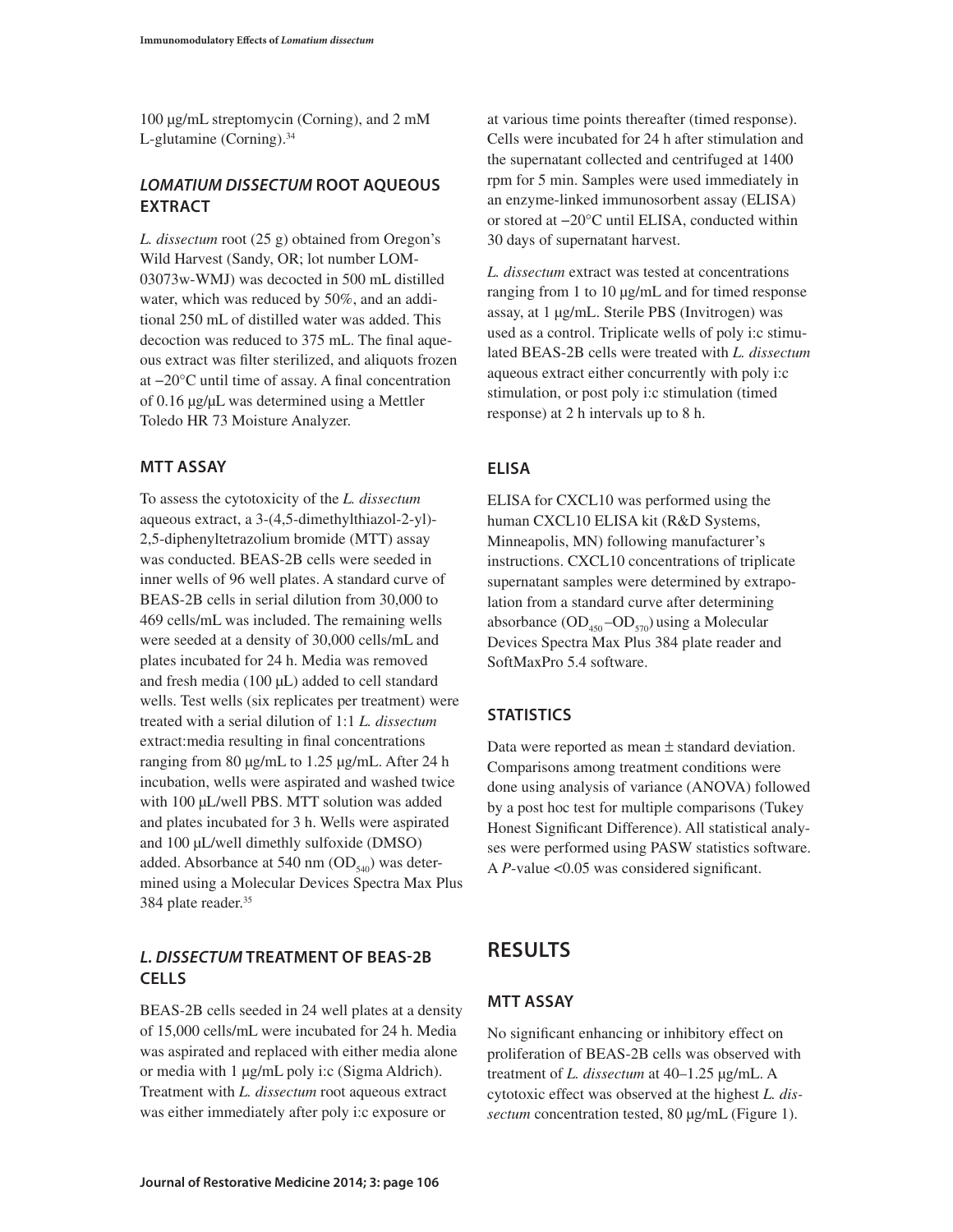100 µg/mL streptomycin (Corning), and 2 mM L-glutamine (Corning). $34$ 

### *Lomatium dissectum* **root aqueous extract**

*L. dissectum* root (25 g) obtained from Oregon's Wild Harvest (Sandy, OR; lot number LOM-03073w-WMJ) was decocted in 500 mL distilled water, which was reduced by 50%, and an additional 250 mL of distilled water was added. This decoction was reduced to 375 mL. The final aqueous extract was filter sterilized, and aliquots frozen at −20°C until time of assay. A final concentration of 0.16 μg/μL was determined using a Mettler Toledo HR 73 Moisture Analyzer.

### **MTT assay**

To assess the cytotoxicity of the *L. dissectum* aqueous extract, a 3-(4,5-dimethylthiazol-2-yl)- 2,5-diphenyltetrazolium bromide (MTT) assay was conducted. BEAS-2B cells were seeded in inner wells of 96 well plates. A standard curve of BEAS-2B cells in serial dilution from 30,000 to 469 cells/mL was included. The remaining wells were seeded at a density of 30,000 cells/mL and plates incubated for 24 h. Media was removed and fresh media (100 µL) added to cell standard wells. Test wells (six replicates per treatment) were treated with a serial dilution of 1:1 *L. dissectum* extract:media resulting in final concentrations ranging from 80 μg/mL to 1.25 μg/mL. After 24 h incubation, wells were aspirated and washed twice with 100 μL/well PBS. MTT solution was added and plates incubated for 3 h. Wells were aspirated and 100 μL/well dimethly sulfoxide (DMSO) added. Absorbance at 540 nm  $OD_{540}$  was determined using a Molecular Devices Spectra Max Plus 384 plate reader.<sup>35</sup>

### *L. dissectum* **treatment of BEAS-2B cells**

BEAS-2B cells seeded in 24 well plates at a density of 15,000 cells/mL were incubated for 24 h. Media was aspirated and replaced with either media alone or media with 1 µg/mL poly i:c (Sigma Aldrich). Treatment with *L. dissectum* root aqueous extract was either immediately after poly i:c exposure or

at various time points thereafter (timed response). Cells were incubated for 24 h after stimulation and the supernatant collected and centrifuged at 1400 rpm for 5 min. Samples were used immediately in an enzyme-linked immunosorbent assay (ELISA) or stored at −20°C until ELISA, conducted within 30 days of supernatant harvest.

*L. dissectum* extract was tested at concentrations ranging from 1 to 10 µg/mL and for timed response assay, at 1 μg/mL. Sterile PBS (Invitrogen) was used as a control. Triplicate wells of poly i:c stimulated BEAS-2B cells were treated with *L. dissectum* aqueous extract either concurrently with poly i:c stimulation, or post poly i:c stimulation (timed response) at 2 h intervals up to 8 h.

### **ELISA**

ELISA for CXCL10 was performed using the human CXCL10 ELISA kit (R&D Systems, Minneapolis, MN) following manufacturer's instructions. CXCL10 concentrations of triplicate supernatant samples were determined by extrapolation from a standard curve after determining absorbance  $OD_{450}$ - $OD_{570}$ ) using a Molecular Devices Spectra Max Plus 384 plate reader and SoftMaxPro 5.4 software.

### **Statistics**

Data were reported as mean ± standard deviation. Comparisons among treatment conditions were done using analysis of variance (ANOVA) followed by a post hoc test for multiple comparisons (Tukey Honest Significant Difference). All statistical analyses were performed using PASW statistics software. A *P*-value <0.05 was considered significant.

# **RESULTS**

### **MTT assay**

No significant enhancing or inhibitory effect on proliferation of BEAS-2B cells was observed with treatment of *L. dissectum* at 40–1.25 μg/mL. A cytotoxic effect was observed at the highest *L. dissectum* concentration tested, 80 μg/mL (Figure 1).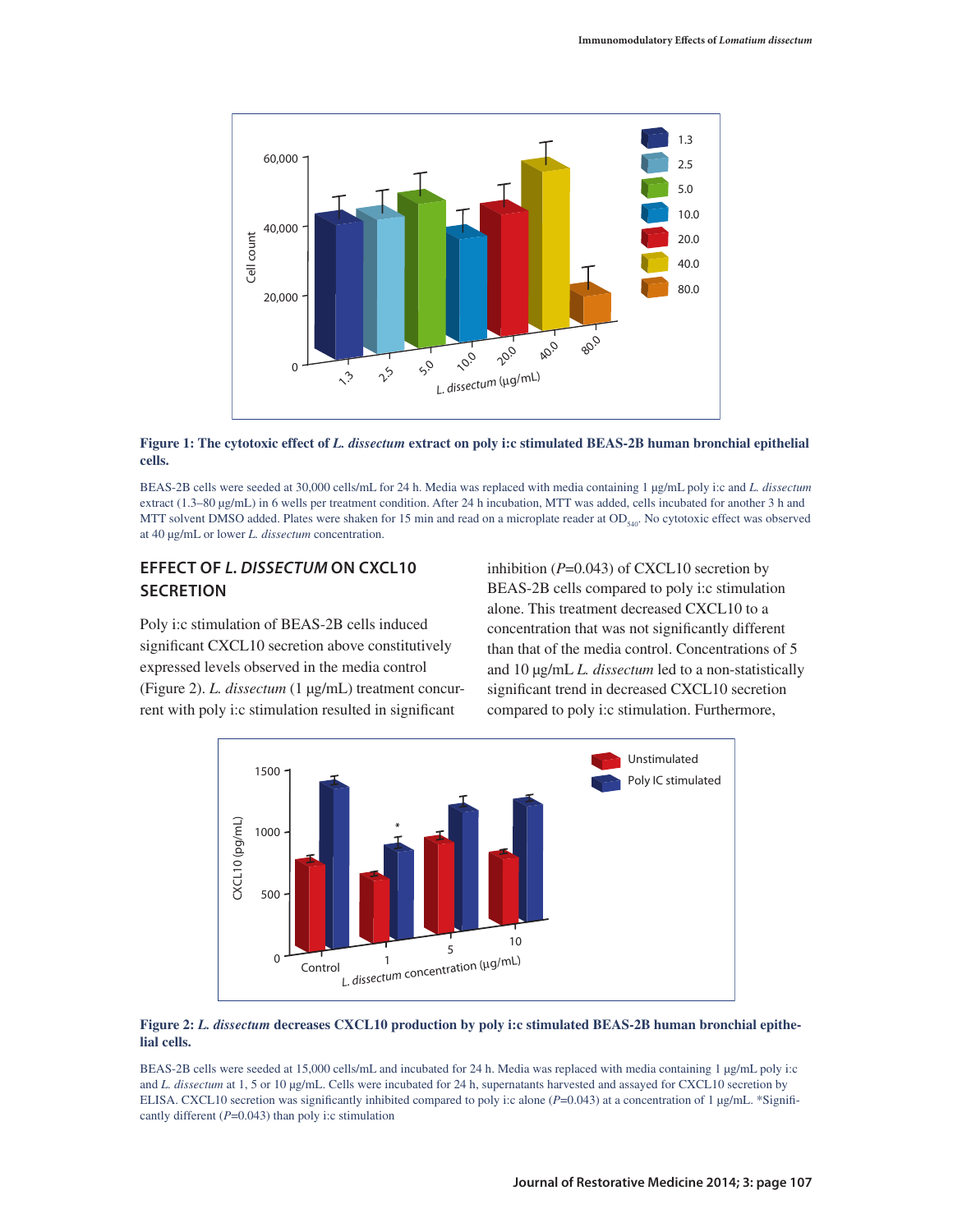

**Figure 1: The cytotoxic effect of** *L. dissectum* **extract on poly i:c stimulated BEAS-2B human bronchial epithelial cells.**

BEAS-2B cells were seeded at 30,000 cells/mL for 24 h. Media was replaced with media containing 1 μg/mL poly i:c and *L. dissectum* extract (1.3–80 µg/mL) in 6 wells per treatment condition. After 24 h incubation, MTT was added, cells incubated for another 3 h and MTT solvent DMSO added. Plates were shaken for 15 min and read on a microplate reader at  $OD_{540}$ . No cytotoxic effect was observed at 40 μg/mL or lower *L. dissectum* concentration.

### **Effect of** *L. dissectum* **on CXCL10 SECRETION**

Poly i:c stimulation of BEAS-2B cells induced significant CXCL10 secretion above constitutively expressed levels observed in the media control (Figure 2). *L. dissectum* (1 μg/mL) treatment concurrent with poly i:c stimulation resulted in significant

inhibition (*P*=0.043) of CXCL10 secretion by BEAS-2B cells compared to poly i:c stimulation alone. This treatment decreased CXCL10 to a concentration that was not significantly different than that of the media control. Concentrations of 5 and 10 μg/mL *L. dissectum* led to a non-statistically significant trend in decreased CXCL10 secretion compared to poly i:c stimulation. Furthermore,



#### **Figure 2:** *L. dissectum* **decreases CXCL10 production by poly i:c stimulated BEAS-2B human bronchial epithelial cells.**

BEAS-2B cells were seeded at 15,000 cells/mL and incubated for 24 h. Media was replaced with media containing 1 µg/mL poly i:c and *L. dissectum* at 1, 5 or 10 μg/mL. Cells were incubated for 24 h, supernatants harvested and assayed for CXCL10 secretion by ELISA. CXCL10 secretion was significantly inhibited compared to poly i:c alone (*P*=0.043) at a concentration of 1 µg/mL. \*Significantly different (*P*=0.043) than poly i:c stimulation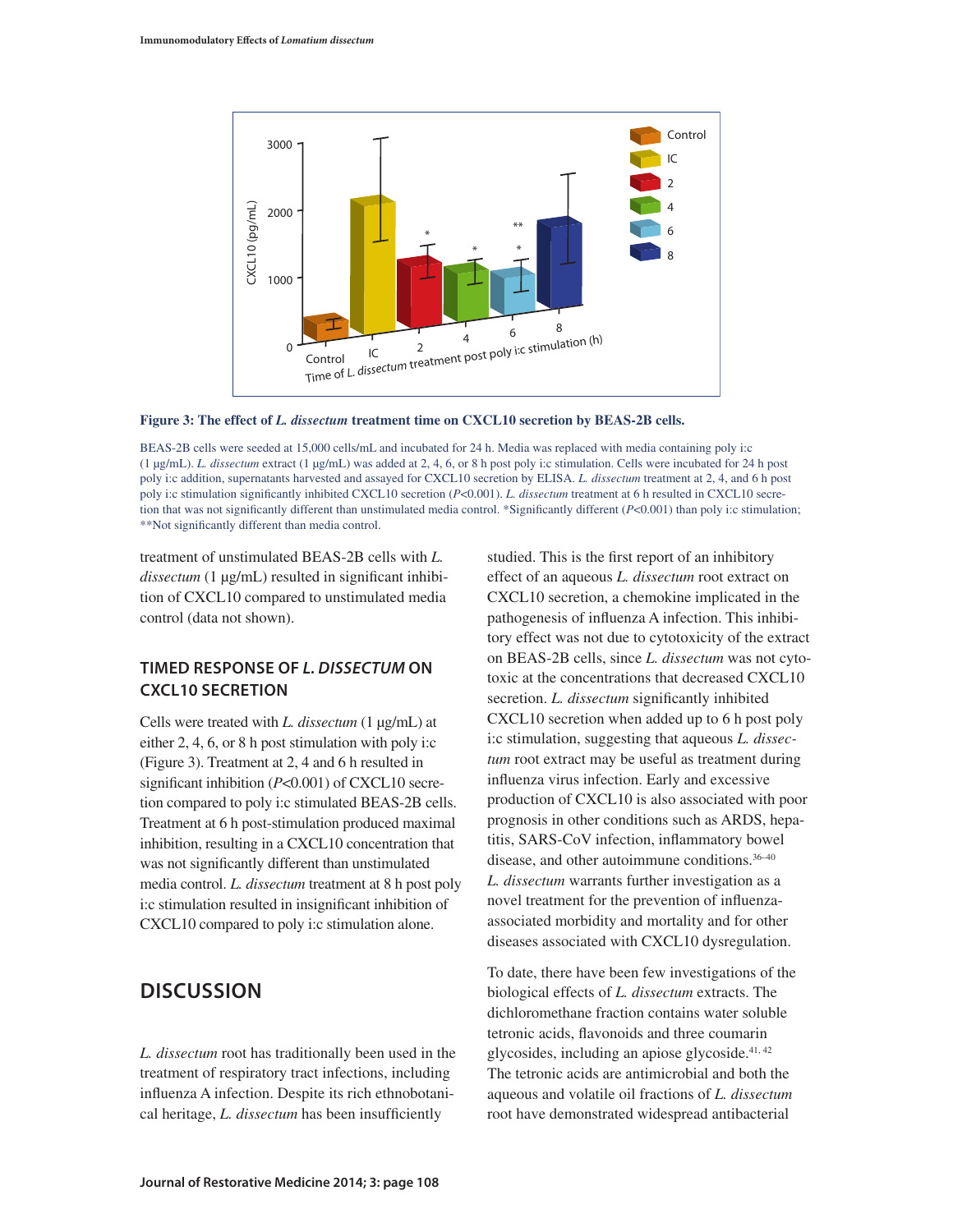

**Figure 3: The effect of** *L. dissectum* **treatment time on CXCL10 secretion by BEAS-2B cells.**

BEAS-2B cells were seeded at 15,000 cells/mL and incubated for 24 h. Media was replaced with media containing poly i:c (1 μg/mL). *L. dissectum* extract (1 μg/mL) was added at 2, 4, 6, or 8 h post poly i:c stimulation. Cells were incubated for 24 h post poly i:c addition, supernatants harvested and assayed for CXCL10 secretion by ELISA. *L. dissectum* treatment at 2, 4, and 6 h post poly i:c stimulation significantly inhibited CXCL10 secretion (*P*<0.001). *L. dissectum* treatment at 6 h resulted in CXCL10 secretion that was not significantly different than unstimulated media control. \*Significantly different (*P*<0.001) than poly i:c stimulation; \*\*Not significantly different than media control.

treatment of unstimulated BEAS-2B cells with *L. dissectum* (1 μg/mL) resulted in significant inhibition of CXCL10 compared to unstimulated media control (data not shown).

### **Timed response of** *L. dissectum* **on CXCL10 secretion**

Cells were treated with *L. dissectum* (1 μg/mL) at either 2, 4, 6, or 8 h post stimulation with poly i:c (Figure 3). Treatment at 2, 4 and 6 h resulted in significant inhibition (*P*<0.001) of CXCL10 secretion compared to poly i:c stimulated BEAS-2B cells. Treatment at 6 h post-stimulation produced maximal inhibition, resulting in a CXCL10 concentration that was not significantly different than unstimulated media control. *L. dissectum* treatment at 8 h post poly i:c stimulation resulted in insignificant inhibition of CXCL10 compared to poly i:c stimulation alone.

# **DISCUSSION**

*L. dissectum* root has traditionally been used in the treatment of respiratory tract infections, including influenza A infection. Despite its rich ethnobotanical heritage, *L. dissectum* has been insufficiently

studied. This is the first report of an inhibitory effect of an aqueous *L. dissectum* root extract on CXCL10 secretion, a chemokine implicated in the pathogenesis of influenza A infection. This inhibitory effect was not due to cytotoxicity of the extract on BEAS-2B cells, since *L. dissectum* was not cytotoxic at the concentrations that decreased CXCL10 secretion. *L. dissectum* significantly inhibited CXCL10 secretion when added up to 6 h post poly i:c stimulation, suggesting that aqueous *L. dissectum* root extract may be useful as treatment during influenza virus infection. Early and excessive production of CXCL10 is also associated with poor prognosis in other conditions such as ARDS, hepatitis, SARS-CoV infection, inflammatory bowel disease, and other autoimmune conditions.36–40 *L. dissectum* warrants further investigation as a novel treatment for the prevention of influenzaassociated morbidity and mortality and for other diseases associated with CXCL10 dysregulation.

To date, there have been few investigations of the biological effects of *L. dissectum* extracts. The dichloromethane fraction contains water soluble tetronic acids, flavonoids and three coumarin glycosides, including an apiose glycoside. $41, 42$ The tetronic acids are antimicrobial and both the aqueous and volatile oil fractions of *L. dissectum* root have demonstrated widespread antibacterial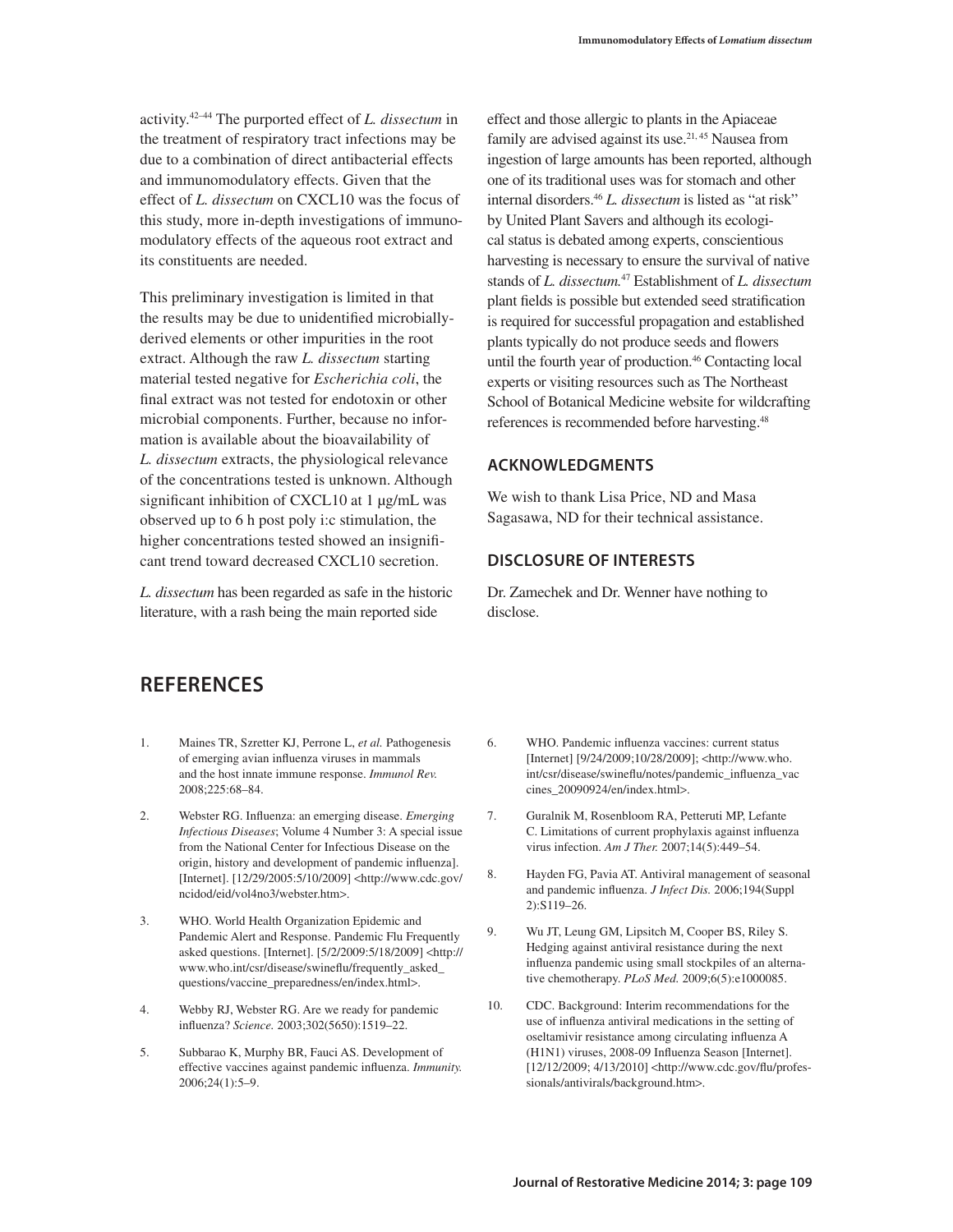activity.42–44 The purported effect of *L. dissectum* in the treatment of respiratory tract infections may be due to a combination of direct antibacterial effects and immunomodulatory effects. Given that the effect of *L. dissectum* on CXCL10 was the focus of this study, more in-depth investigations of immunomodulatory effects of the aqueous root extract and its constituents are needed.

This preliminary investigation is limited in that the results may be due to unidentified microbiallyderived elements or other impurities in the root extract. Although the raw *L. dissectum* starting material tested negative for *Escherichia coli*, the final extract was not tested for endotoxin or other microbial components. Further, because no information is available about the bioavailability of *L. dissectum* extracts, the physiological relevance of the concentrations tested is unknown. Although significant inhibition of CXCL10 at 1 μg/mL was observed up to 6 h post poly i:c stimulation, the higher concentrations tested showed an insignificant trend toward decreased CXCL10 secretion.

*L. dissectum* has been regarded as safe in the historic literature, with a rash being the main reported side

effect and those allergic to plants in the Apiaceae family are advised against its use.<sup>21, 45</sup> Nausea from ingestion of large amounts has been reported, although one of its traditional uses was for stomach and other internal disorders.46 *L. dissectum* is listed as "at risk" by United Plant Savers and although its ecological status is debated among experts, conscientious harvesting is necessary to ensure the survival of native stands of *L. dissectum.*47 Establishment of *L. dissectum* plant fields is possible but extended seed stratification is required for successful propagation and established plants typically do not produce seeds and flowers until the fourth year of production.<sup>46</sup> Contacting local experts or visiting resources such as The Northeast School of Botanical Medicine website for wildcrafting references is recommended before harvesting.48

#### **Acknowledgments**

We wish to thank Lisa Price, ND and Masa Sagasawa, ND for their technical assistance.

#### **DISCLOSURE OF INTERESTs**

Dr. Zamechek and Dr. Wenner have nothing to disclose.

# **References**

- 1. Maines TR, Szretter KJ, Perrone L, *et al.* Pathogenesis of emerging avian influenza viruses in mammals and the host innate immune response. *Immunol Rev.*  2008;225:68–84.
- 2. Webster RG. Influenza: an emerging disease. *Emerging Infectious Diseases*; Volume 4 Number 3: A special issue from the National Center for Infectious Disease on the origin, history and development of pandemic influenza]. [Internet]. [12/29/2005:5/10/2009] <http://www.cdc.gov/ ncidod/eid/vol4no3/webster.htm>.
- 3. WHO. World Health Organization Epidemic and Pandemic Alert and Response. Pandemic Flu Frequently asked questions. [Internet]. [5/2/2009:5/18/2009] <http:// www.who.int/csr/disease/swineflu/frequently\_asked\_ questions/vaccine\_preparedness/en/index.html>.
- 4. Webby RJ, Webster RG. Are we ready for pandemic influenza? *Science.* 2003;302(5650):1519–22.
- 5. Subbarao K, Murphy BR, Fauci AS. Development of effective vaccines against pandemic influenza. *Immunity.*  2006;24(1):5–9.
- 6. WHO. Pandemic influenza vaccines: current status [Internet] [9/24/2009;10/28/2009]; <http://www.who. int/csr/disease/swineflu/notes/pandemic\_influenza\_vac cines\_20090924/en/index.html>.
- 7. Guralnik M, Rosenbloom RA, Petteruti MP, Lefante C. Limitations of current prophylaxis against influenza virus infection. *Am J Ther.* 2007;14(5):449–54.
- 8. Hayden FG, Pavia AT. Antiviral management of seasonal and pandemic influenza. *J Infect Dis.* 2006;194(Suppl 2):S119–26.
- 9. Wu JT, Leung GM, Lipsitch M, Cooper BS, Riley S. Hedging against antiviral resistance during the next influenza pandemic using small stockpiles of an alternative chemotherapy. *PLoS Med.* 2009;6(5):e1000085.
- 10. CDC. Background: Interim recommendations for the use of influenza antiviral medications in the setting of oseltamivir resistance among circulating influenza A (H1N1) viruses, 2008-09 Influenza Season [Internet]. [12/12/2009; 4/13/2010] <http://www.cdc.gov/flu/professionals/antivirals/background.htm>.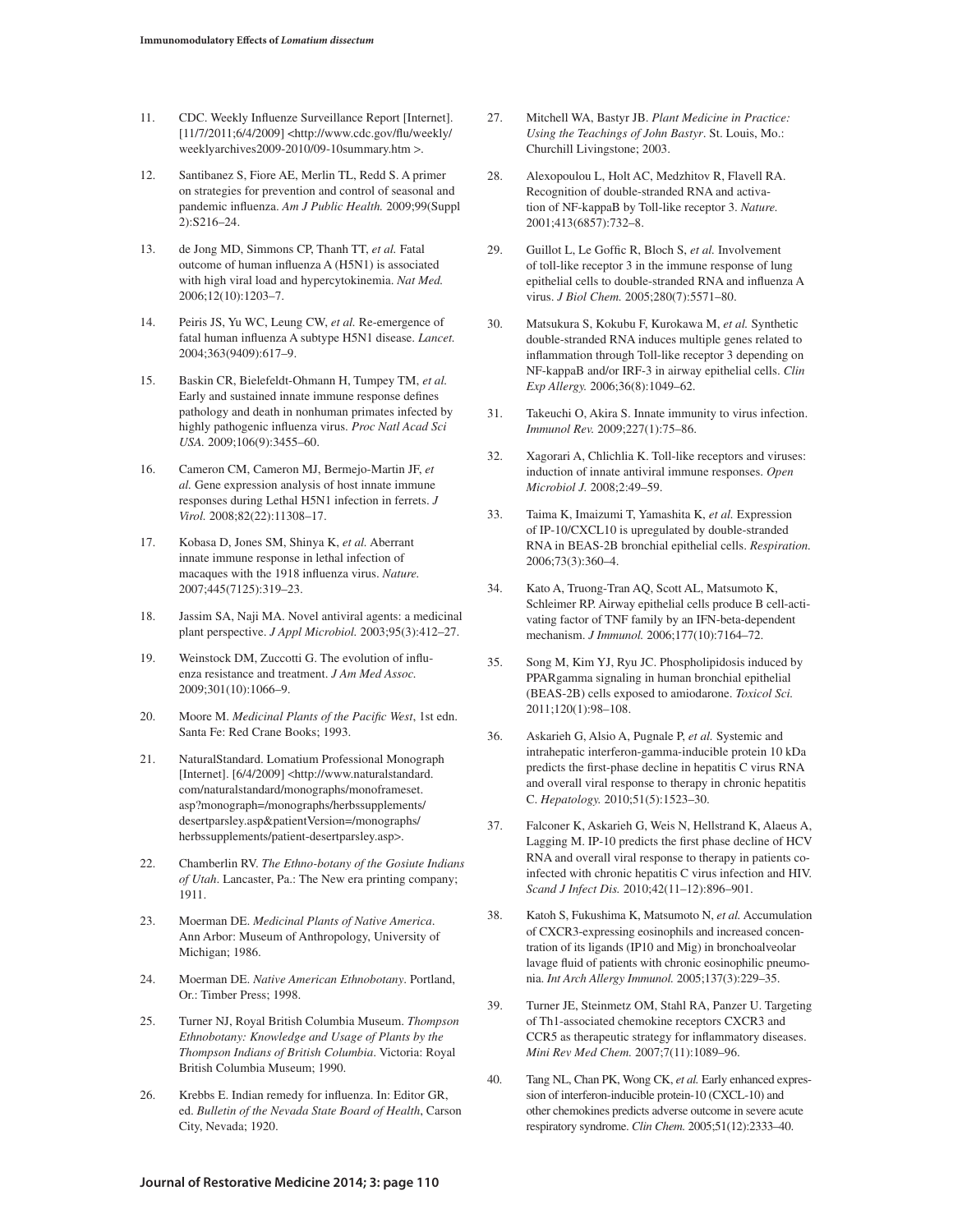- 11. CDC. Weekly Influenze Surveillance Report [Internet]. [11/7/2011;6/4/2009] <http://www.cdc.gov/flu/weekly/ weeklyarchives2009-2010/09-10summary.htm >.
- 12. Santibanez S, Fiore AE, Merlin TL, Redd S. A primer on strategies for prevention and control of seasonal and pandemic influenza. *Am J Public Health.* 2009;99(Suppl 2):S216–24.
- 13. de Jong MD, Simmons CP, Thanh TT, *et al.* Fatal outcome of human influenza A (H5N1) is associated with high viral load and hypercytokinemia. *Nat Med.*  2006;12(10):1203–7.
- 14. Peiris JS, Yu WC, Leung CW, *et al.* Re-emergence of fatal human influenza A subtype H5N1 disease. *Lancet.*  2004;363(9409):617–9.
- 15. Baskin CR, Bielefeldt-Ohmann H, Tumpey TM, *et al.* Early and sustained innate immune response defines pathology and death in nonhuman primates infected by highly pathogenic influenza virus. *Proc Natl Acad Sci USA.* 2009;106(9):3455–60.
- 16. Cameron CM, Cameron MJ, Bermejo-Martin JF, *et al.* Gene expression analysis of host innate immune responses during Lethal H5N1 infection in ferrets. *J Virol.* 2008;82(22):11308–17.
- 17. Kobasa D, Jones SM, Shinya K, *et al.* Aberrant innate immune response in lethal infection of macaques with the 1918 influenza virus. *Nature.*  2007;445(7125):319–23.
- 18. Jassim SA, Naji MA. Novel antiviral agents: a medicinal plant perspective. *J Appl Microbiol.* 2003;95(3):412–27.
- 19. Weinstock DM, Zuccotti G. The evolution of influenza resistance and treatment. *J Am Med Assoc.* 2009;301(10):1066–9.
- 20. Moore M. *Medicinal Plants of the Pacific West*, 1st edn. Santa Fe: Red Crane Books; 1993.
- 21. NaturalStandard. Lomatium Professional Monograph [Internet]. [6/4/2009] <http://www.naturalstandard. com/naturalstandard/monographs/monoframeset. asp?monograph=/monographs/herbssupplements/ desertparsley.asp&patientVersion=/monographs/ herbssupplements/patient-desertparsley.asp>.
- 22. Chamberlin RV. *The Ethno-botany of the Gosiute Indians of Utah*. Lancaster, Pa.: The New era printing company; 1911.
- 23. Moerman DE. *Medicinal Plants of Native America*. Ann Arbor: Museum of Anthropology, University of Michigan; 1986.
- 24. Moerman DE. *Native American Ethnobotany*. Portland, Or.: Timber Press; 1998.
- 25. Turner NJ, Royal British Columbia Museum. *Thompson Ethnobotany: Knowledge and Usage of Plants by the Thompson Indians of British Columbia*. Victoria: Royal British Columbia Museum; 1990.
- 26. Krebbs E. Indian remedy for influenza. In: Editor GR, ed. *Bulletin of the Nevada State Board of Health*, Carson City, Nevada; 1920.
- 27. Mitchell WA, Bastyr JB. *Plant Medicine in Practice: Using the Teachings of John Bastyr*. St. Louis, Mo.: Churchill Livingstone; 2003.
- 28. Alexopoulou L, Holt AC, Medzhitov R, Flavell RA. Recognition of double-stranded RNA and activation of NF-kappaB by Toll-like receptor 3. *Nature.*  2001;413(6857):732–8.
- 29. Guillot L, Le Goffic R, Bloch S, *et al.* Involvement of toll-like receptor 3 in the immune response of lung epithelial cells to double-stranded RNA and influenza A virus. *J Biol Chem.* 2005;280(7):5571–80.
- 30. Matsukura S, Kokubu F, Kurokawa M, *et al.* Synthetic double-stranded RNA induces multiple genes related to inflammation through Toll-like receptor 3 depending on NF-kappaB and/or IRF-3 in airway epithelial cells. *Clin Exp Allergy.* 2006;36(8):1049–62.
- 31. Takeuchi O, Akira S. Innate immunity to virus infection. *Immunol Rev.* 2009;227(1):75–86.
- 32. Xagorari A, Chlichlia K. Toll-like receptors and viruses: induction of innate antiviral immune responses. *Open Microbiol J.* 2008;2:49–59.
- 33. Taima K, Imaizumi T, Yamashita K, *et al.* Expression of IP-10/CXCL10 is upregulated by double-stranded RNA in BEAS-2B bronchial epithelial cells. *Respiration.*  2006;73(3):360–4.
- 34. Kato A, Truong-Tran AQ, Scott AL, Matsumoto K, Schleimer RP. Airway epithelial cells produce B cell-activating factor of TNF family by an IFN-beta-dependent mechanism. *J Immunol.* 2006;177(10):7164–72.
- 35. Song M, Kim YJ, Ryu JC. Phospholipidosis induced by PPARgamma signaling in human bronchial epithelial (BEAS-2B) cells exposed to amiodarone. *Toxicol Sci.*  2011;120(1):98–108.
- 36. Askarieh G, Alsio A, Pugnale P, *et al.* Systemic and intrahepatic interferon-gamma-inducible protein 10 kDa predicts the first-phase decline in hepatitis C virus RNA and overall viral response to therapy in chronic hepatitis C. *Hepatology.* 2010;51(5):1523–30.
- 37. Falconer K, Askarieh G, Weis N, Hellstrand K, Alaeus A, Lagging M. IP-10 predicts the first phase decline of HCV RNA and overall viral response to therapy in patients coinfected with chronic hepatitis C virus infection and HIV. *Scand J Infect Dis.* 2010;42(11–12):896–901.
- 38. Katoh S, Fukushima K, Matsumoto N, *et al.* Accumulation of CXCR3-expressing eosinophils and increased concentration of its ligands (IP10 and Mig) in bronchoalveolar lavage fluid of patients with chronic eosinophilic pneumonia. *Int Arch Allergy Immunol.* 2005;137(3):229–35.
- 39. Turner JE, Steinmetz OM, Stahl RA, Panzer U. Targeting of Th1-associated chemokine receptors CXCR3 and CCR5 as therapeutic strategy for inflammatory diseases. *Mini Rev Med Chem.* 2007;7(11):1089–96.
- 40. Tang NL, Chan PK, Wong CK, *et al.* Early enhanced expression of interferon-inducible protein-10 (CXCL-10) and other chemokines predicts adverse outcome in severe acute respiratory syndrome. *Clin Chem.* 2005;51(12):2333–40.